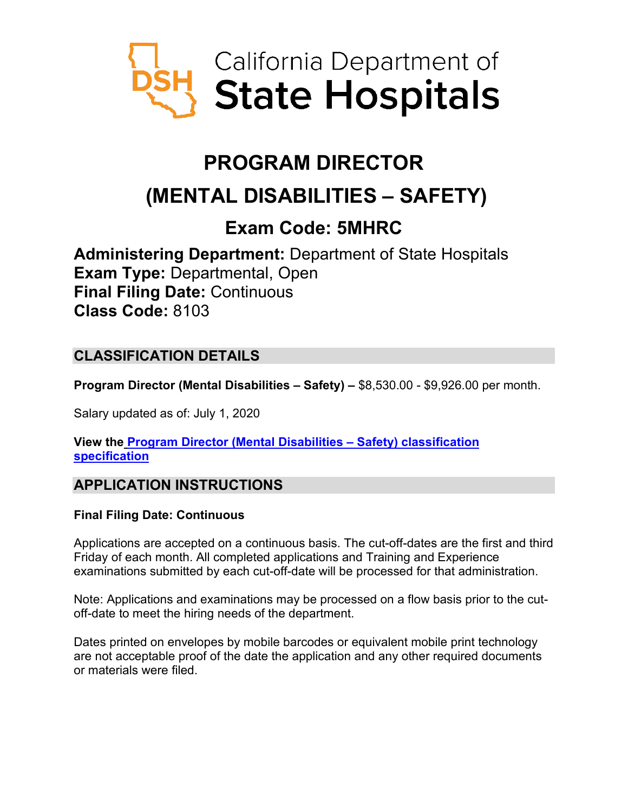

# **PROGRAM DIRECTOR**

# **(MENTAL DISABILITIES – SAFETY)**

## **Exam Code: 5MHRC**

**Administering Department:** Department of State Hospitals **Exam Type:** Departmental, Open **Final Filing Date:** Continuous **Class Code:** 8103

## **CLASSIFICATION DETAILS**

**Program Director (Mental Disabilities – Safety) –** \$8,530.00 - \$9,926.00 per month.

Salary updated as of: July 1, 2020

**View the [Program Director \(Mental Disabilities –](https://www.calhr.ca.gov/state-hr-professionals/Pages/8262.aspx) Safety) classification [specification](https://www.calhr.ca.gov/state-hr-professionals/Pages/8262.aspx)**

## **APPLICATION INSTRUCTIONS**

## **Final Filing Date: Continuous**

Applications are accepted on a continuous basis. The cut-off-dates are the first and third Friday of each month. All completed applications and Training and Experience examinations submitted by each cut-off-date will be processed for that administration.

Note: Applications and examinations may be processed on a flow basis prior to the cutoff-date to meet the hiring needs of the department.

Dates printed on envelopes by mobile barcodes or equivalent mobile print technology are not acceptable proof of the date the application and any other required documents or materials were filed.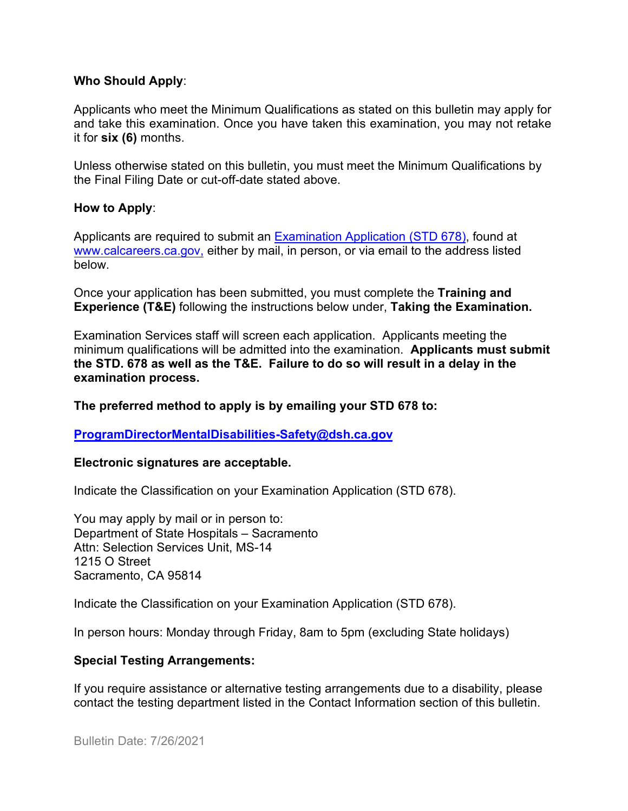#### **Who Should Apply**:

Applicants who meet the Minimum Qualifications as stated on this bulletin may apply for and take this examination. Once you have taken this examination, you may not retake it for **six (6)** months.

Unless otherwise stated on this bulletin, you must meet the Minimum Qualifications by the Final Filing Date or cut-off-date stated above.

#### **How to Apply**:

Applicants are required to submit a[n Examination Application \(STD 678\),](https://jobs.ca.gov/pdf/std678.pdf) found at [www.calcareers.ca.gov,](http://www.calcareers.ca.gov/) either by mail, in person, or via email to the address listed below.

Once your application has been submitted, you must complete the **Training and Experience (T&E)** following the instructions below under, **Taking the Examination.**

Examination Services staff will screen each application. Applicants meeting the minimum qualifications will be admitted into the examination. **Applicants must submit the STD. 678 as well as the T&E. Failure to do so will result in a delay in the examination process.**

#### **The preferred method to apply is by emailing your STD 678 to:**

#### **[ProgramDirectorMentalDisabilities-Safety@dsh.ca.gov](mailto:ProgramDirectorMentalDisabilities-Safety@dsh.ca.gov)**

#### **Electronic signatures are acceptable.**

Indicate the Classification on your Examination Application (STD 678).

You may apply by mail or in person to: Department of State Hospitals – Sacramento Attn: Selection Services Unit, MS-14 1215 O Street Sacramento, CA 95814

Indicate the Classification on your Examination Application (STD 678).

In person hours: Monday through Friday, 8am to 5pm (excluding State holidays)

#### **Special Testing Arrangements:**

If you require assistance or alternative testing arrangements due to a disability, please contact the testing department listed in the Contact Information section of this bulletin.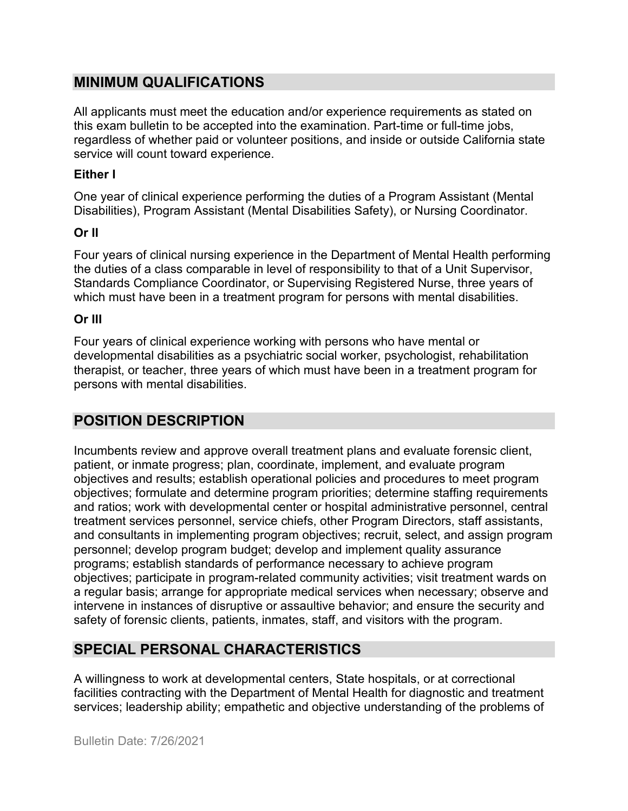## **MINIMUM QUALIFICATIONS**

All applicants must meet the education and/or experience requirements as stated on this exam bulletin to be accepted into the examination. Part-time or full-time jobs, regardless of whether paid or volunteer positions, and inside or outside California state service will count toward experience.

#### **Either I**

One year of clinical experience performing the duties of a Program Assistant (Mental Disabilities), Program Assistant (Mental Disabilities Safety), or Nursing Coordinator.

## **Or II**

Four years of clinical nursing experience in the Department of Mental Health performing the duties of a class comparable in level of responsibility to that of a Unit Supervisor, Standards Compliance Coordinator, or Supervising Registered Nurse, three years of which must have been in a treatment program for persons with mental disabilities.

## **Or III**

Four years of clinical experience working with persons who have mental or developmental disabilities as a psychiatric social worker, psychologist, rehabilitation therapist, or teacher, three years of which must have been in a treatment program for persons with mental disabilities.

## **POSITION DESCRIPTION**

Incumbents review and approve overall treatment plans and evaluate forensic client, patient, or inmate progress; plan, coordinate, implement, and evaluate program objectives and results; establish operational policies and procedures to meet program objectives; formulate and determine program priorities; determine staffing requirements and ratios; work with developmental center or hospital administrative personnel, central treatment services personnel, service chiefs, other Program Directors, staff assistants, and consultants in implementing program objectives; recruit, select, and assign program personnel; develop program budget; develop and implement quality assurance programs; establish standards of performance necessary to achieve program objectives; participate in program-related community activities; visit treatment wards on a regular basis; arrange for appropriate medical services when necessary; observe and intervene in instances of disruptive or assaultive behavior; and ensure the security and safety of forensic clients, patients, inmates, staff, and visitors with the program.

## **SPECIAL PERSONAL CHARACTERISTICS**

A willingness to work at developmental centers, State hospitals, or at correctional facilities contracting with the Department of Mental Health for diagnostic and treatment services; leadership ability; empathetic and objective understanding of the problems of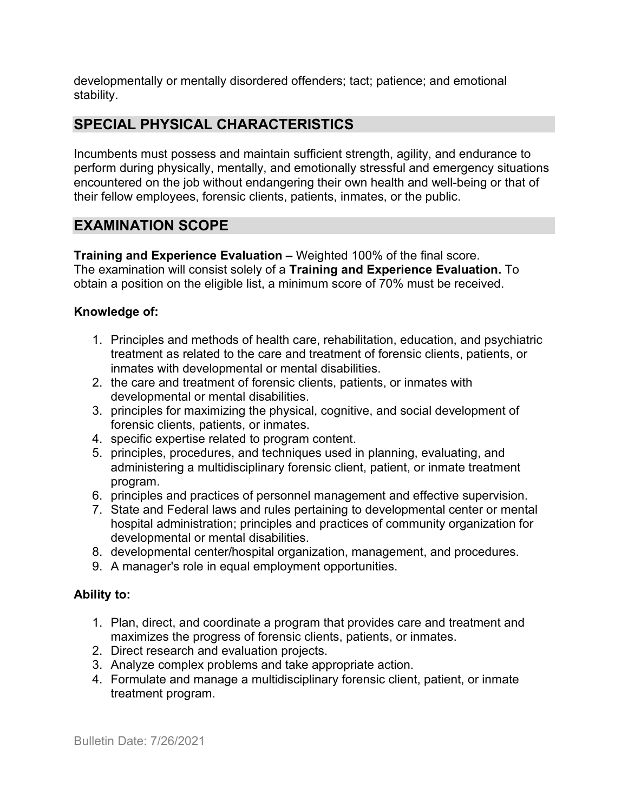developmentally or mentally disordered offenders; tact; patience; and emotional stability.

## **SPECIAL PHYSICAL CHARACTERISTICS**

Incumbents must possess and maintain sufficient strength, agility, and endurance to perform during physically, mentally, and emotionally stressful and emergency situations encountered on the job without endangering their own health and well-being or that of their fellow employees, forensic clients, patients, inmates, or the public.

## **EXAMINATION SCOPE**

**Training and Experience Evaluation –** Weighted 100% of the final score. The examination will consist solely of a **Training and Experience Evaluation.** To obtain a position on the eligible list, a minimum score of 70% must be received.

#### **Knowledge of:**

- 1. Principles and methods of health care, rehabilitation, education, and psychiatric treatment as related to the care and treatment of forensic clients, patients, or inmates with developmental or mental disabilities.
- 2. the care and treatment of forensic clients, patients, or inmates with developmental or mental disabilities.
- 3. principles for maximizing the physical, cognitive, and social development of forensic clients, patients, or inmates.
- 4. specific expertise related to program content.
- 5. principles, procedures, and techniques used in planning, evaluating, and administering a multidisciplinary forensic client, patient, or inmate treatment program.
- 6. principles and practices of personnel management and effective supervision.
- 7. State and Federal laws and rules pertaining to developmental center or mental hospital administration; principles and practices of community organization for developmental or mental disabilities.
- 8. developmental center/hospital organization, management, and procedures.
- 9. A manager's role in equal employment opportunities.

## **Ability to:**

- 1. Plan, direct, and coordinate a program that provides care and treatment and maximizes the progress of forensic clients, patients, or inmates.
- 2. Direct research and evaluation projects.
- 3. Analyze complex problems and take appropriate action.
- 4. Formulate and manage a multidisciplinary forensic client, patient, or inmate treatment program.

Bulletin Date: 7/26/2021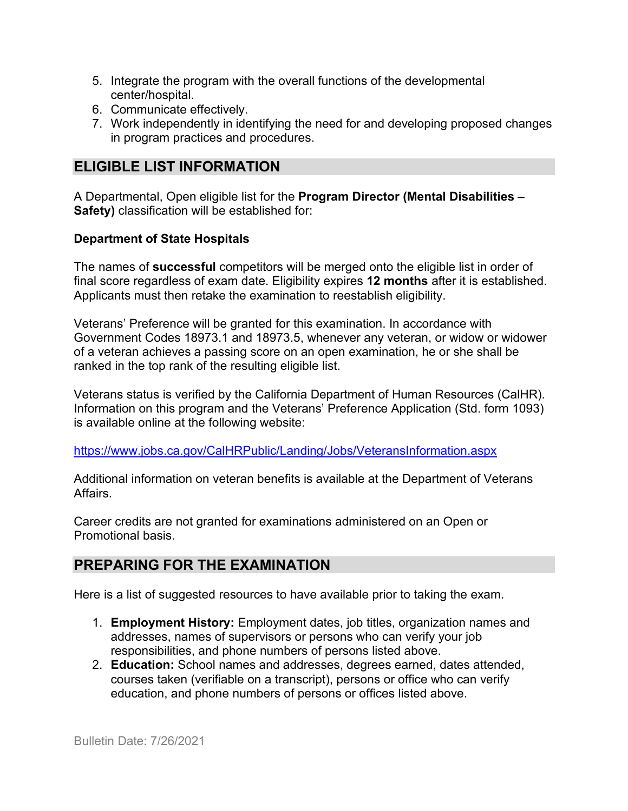- 5. Integrate the program with the overall functions of the developmental center/hospital.
- 6. Communicate effectively.
- 7. Work independently in identifying the need for and developing proposed changes in program practices and procedures.

## **ELIGIBLE LIST INFORMATION**

A Departmental, Open eligible list for the **Program Director (Mental Disabilities – Safety)** classification will be established for:

#### **Department of State Hospitals**

The names of **successful** competitors will be merged onto the eligible list in order of final score regardless of exam date. Eligibility expires **12 months** after it is established. Applicants must then retake the examination to reestablish eligibility.

Veterans' Preference will be granted for this examination. In accordance with Government Codes 18973.1 and 18973.5, whenever any veteran, or widow or widower of a veteran achieves a passing score on an open examination, he or she shall be ranked in the top rank of the resulting eligible list.

Veterans status is verified by the California Department of Human Resources (CalHR). Information on this program and the Veterans' Preference Application (Std. form 1093) is available online at the following website:

<https://www.jobs.ca.gov/CalHRPublic/Landing/Jobs/VeteransInformation.aspx>

Additional information on veteran benefits is available at the Department of Veterans Affairs.

Career credits are not granted for examinations administered on an Open or Promotional basis.

## **PREPARING FOR THE EXAMINATION**

Here is a list of suggested resources to have available prior to taking the exam.

- 1. **Employment History:** Employment dates, job titles, organization names and addresses, names of supervisors or persons who can verify your job responsibilities, and phone numbers of persons listed above.
- 2. **Education:** School names and addresses, degrees earned, dates attended, courses taken (verifiable on a transcript), persons or office who can verify education, and phone numbers of persons or offices listed above.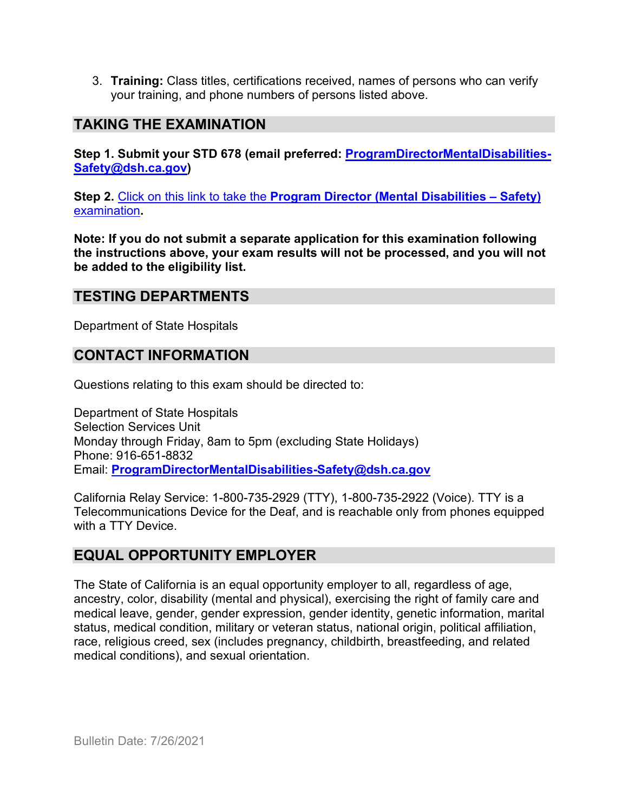3. **Training:** Class titles, certifications received, names of persons who can verify your training, and phone numbers of persons listed above.

## **TAKING THE EXAMINATION**

**Step 1. Submit your STD 678 (email preferred: [ProgramDirectorMentalDisabilities-](mailto:ProgramDirectorMentalDisabilities-Safety@dsh.ca.gov)[Safety@dsh.ca.gov\)](mailto:ProgramDirectorMentalDisabilities-Safety@dsh.ca.gov)**

**Step 2.** Click on this link to take the **[Program Director \(Mental Disabilities –](https://www.surveymonkey.com/r/3TPYRXX) Safety)** [examination](https://www.surveymonkey.com/r/3TPYRXX)**.**

**Note: If you do not submit a separate application for this examination following the instructions above, your exam results will not be processed, and you will not be added to the eligibility list.**

## **TESTING DEPARTMENTS**

Department of State Hospitals

## **CONTACT INFORMATION**

Questions relating to this exam should be directed to:

Department of State Hospitals Selection Services Unit Monday through Friday, 8am to 5pm (excluding State Holidays) Phone: 916-651-8832 Email: **[ProgramDirectorMentalDisabilities-Safety@dsh.ca.gov](mailto:ProgramDirectorMentalDisabilities-Safety@dsh.ca.gov)**

California Relay Service: 1-800-735-2929 (TTY), 1-800-735-2922 (Voice). TTY is a Telecommunications Device for the Deaf, and is reachable only from phones equipped with a TTY Device.

## **EQUAL OPPORTUNITY EMPLOYER**

The State of California is an equal opportunity employer to all, regardless of age, ancestry, color, disability (mental and physical), exercising the right of family care and medical leave, gender, gender expression, gender identity, genetic information, marital status, medical condition, military or veteran status, national origin, political affiliation, race, religious creed, sex (includes pregnancy, childbirth, breastfeeding, and related medical conditions), and sexual orientation.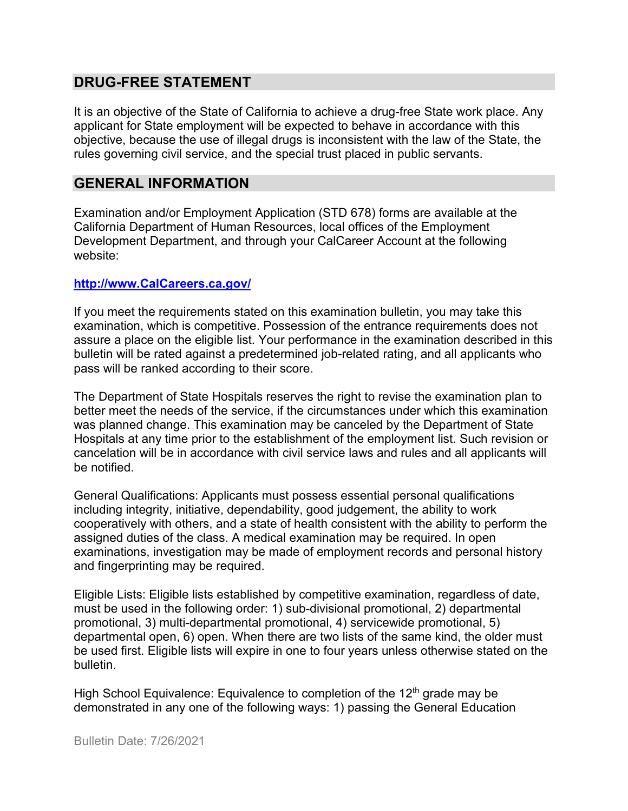## **DRUG-FREE STATEMENT**

It is an objective of the State of California to achieve a drug-free State work place. Any applicant for State employment will be expected to behave in accordance with this objective, because the use of illegal drugs is inconsistent with the law of the State, the rules governing civil service, and the special trust placed in public servants.

### **GENERAL INFORMATION**

Examination and/or Employment Application (STD 678) forms are available at the California Department of Human Resources, local offices of the Employment Development Department, and through your CalCareer Account at the following website:

#### **http://www.CalCareers.ca.gov/**

If you meet the requirements stated on this examination bulletin, you may take this examination, which is competitive. Possession of the entrance requirements does not assure a place on the eligible list. Your performance in the examination described in this bulletin will be rated against a predetermined job-related rating, and all applicants who pass will be ranked according to their score.

The Department of State Hospitals reserves the right to revise the examination plan to better meet the needs of the service, if the circumstances under which this examination was planned change. This examination may be canceled by the Department of State Hospitals at any time prior to the establishment of the employment list. Such revision or cancelation will be in accordance with civil service laws and rules and all applicants will be notified.

General Qualifications: Applicants must possess essential personal qualifications including integrity, initiative, dependability, good judgement, the ability to work cooperatively with others, and a state of health consistent with the ability to perform the assigned duties of the class. A medical examination may be required. In open examinations, investigation may be made of employment records and personal history and fingerprinting may be required.

Eligible Lists: Eligible lists established by competitive examination, regardless of date, must be used in the following order: 1) sub-divisional promotional, 2) departmental promotional, 3) multi-departmental promotional, 4) servicewide promotional, 5) departmental open, 6) open. When there are two lists of the same kind, the older must be used first. Eligible lists will expire in one to four years unless otherwise stated on the bulletin.

High School Equivalence: Equivalence to completion of the  $12<sup>th</sup>$  grade may be demonstrated in any one of the following ways: 1) passing the General Education